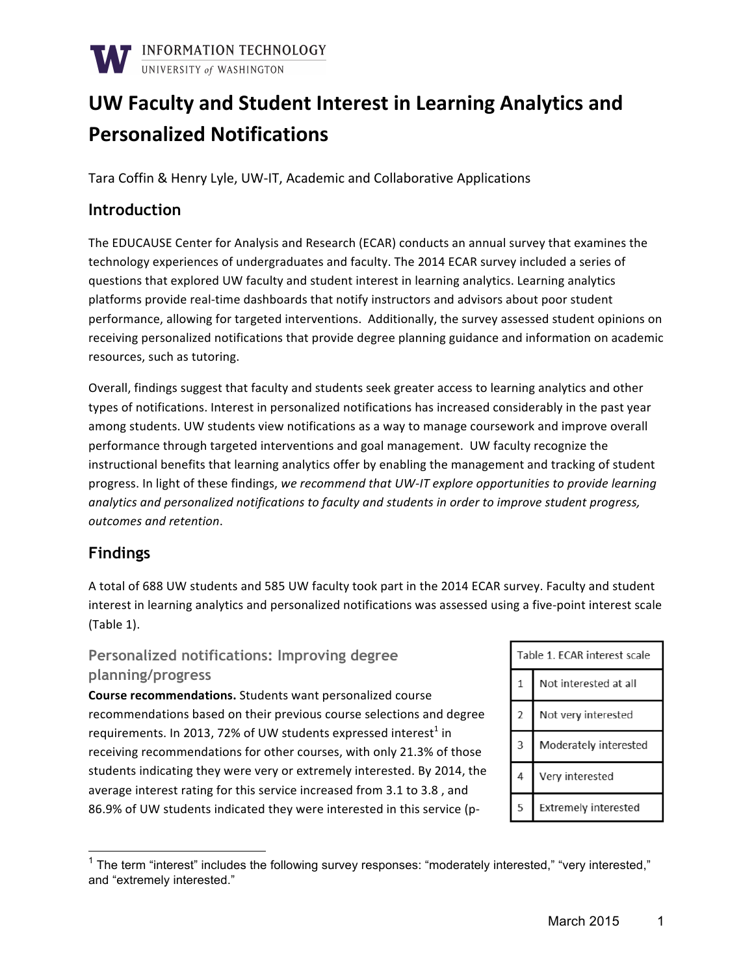

# UW Faculty and Student Interest in Learning Analytics and **Personalized Notifications**

Tara Coffin & Henry Lyle, UW-IT, Academic and Collaborative Applications

#### **Introduction**

The EDUCAUSE Center for Analysis and Research (ECAR) conducts an annual survey that examines the technology experiences of undergraduates and faculty. The 2014 ECAR survey included a series of questions that explored UW faculty and student interest in learning analytics. Learning analytics platforms provide real-time dashboards that notify instructors and advisors about poor student performance, allowing for targeted interventions. Additionally, the survey assessed student opinions on receiving personalized notifications that provide degree planning guidance and information on academic resources, such as tutoring.

Overall, findings suggest that faculty and students seek greater access to learning analytics and other types of notifications. Interest in personalized notifications has increased considerably in the past year among students. UW students view notifications as a way to manage coursework and improve overall performance through targeted interventions and goal management. UW faculty recognize the instructional benefits that learning analytics offer by enabling the management and tracking of student progress. In light of these findings, we recommend that UW-IT explore opportunities to provide learning analytics and personalized notifications to faculty and students in order to improve student progress, *outcomes and retention*. 

## **Findings**

A total of 688 UW students and 585 UW faculty took part in the 2014 ECAR survey. Faculty and student interest in learning analytics and personalized notifications was assessed using a five-point interest scale  $(Table 1)$ .

### **Personalized notifications: Improving degree planning/progress**

**Course recommendations.** Students want personalized course recommendations based on their previous course selections and degree requirements. In 2013, 72% of UW students expressed interest<sup>1</sup> in receiving recommendations for other courses, with only 21.3% of those students indicating they were very or extremely interested. By 2014, the average interest rating for this service increased from 3.1 to 3.8, and 86.9% of UW students indicated they were interested in this service (p-

Table 1. ECAR interest scale  $\mathbf{1}$ Not interested at all  $\overline{2}$ Not very interested  $\overline{3}$ Moderately interested  $\overline{4}$ Very interested 5 Extremely interested

 $1$  The term "interest" includes the following survey responses: "moderately interested," "very interested," and "extremely interested."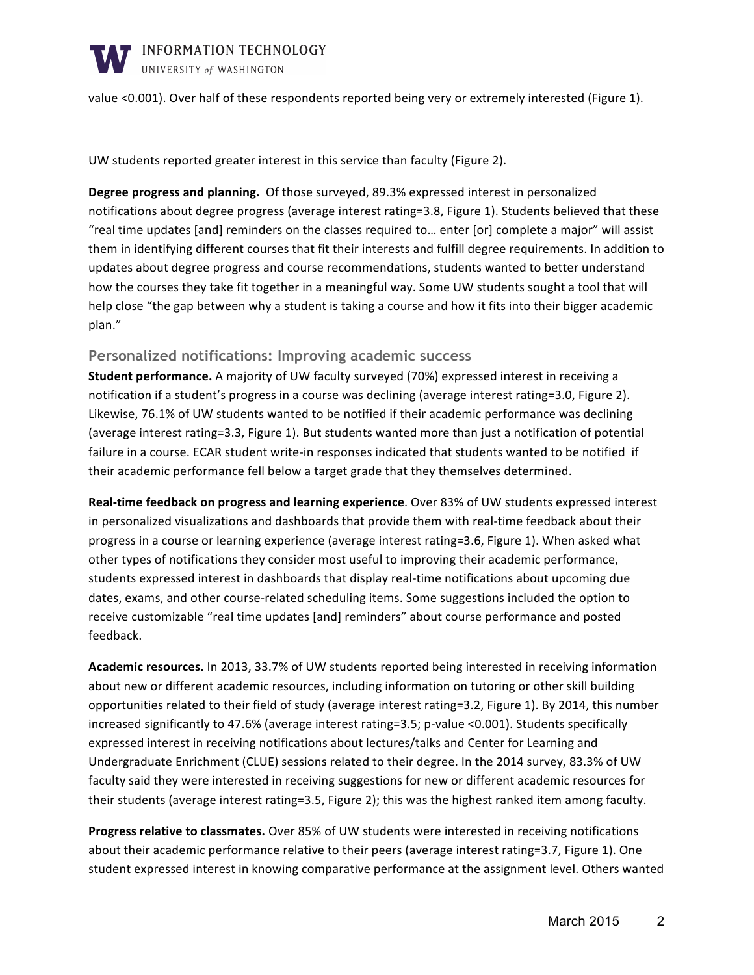

value <0.001). Over half of these respondents reported being very or extremely interested (Figure 1).

UW students reported greater interest in this service than faculty (Figure 2).

**Degree progress and planning.** Of those surveyed, 89.3% expressed interest in personalized notifications about degree progress (average interest rating=3.8, Figure 1). Students believed that these "real time updates [and] reminders on the classes required to... enter [or] complete a major" will assist them in identifying different courses that fit their interests and fulfill degree requirements. In addition to updates about degree progress and course recommendations, students wanted to better understand how the courses they take fit together in a meaningful way. Some UW students sought a tool that will help close "the gap between why a student is taking a course and how it fits into their bigger academic plan."

#### **Personalized notifications: Improving academic success**

**Student performance.** A majority of UW faculty surveyed (70%) expressed interest in receiving a notification if a student's progress in a course was declining (average interest rating=3.0, Figure 2). Likewise, 76.1% of UW students wanted to be notified if their academic performance was declining (average interest rating=3.3, Figure 1). But students wanted more than just a notification of potential failure in a course. ECAR student write-in responses indicated that students wanted to be notified if their academic performance fell below a target grade that they themselves determined.

**Real-time feedback on progress and learning experience**. Over 83% of UW students expressed interest in personalized visualizations and dashboards that provide them with real-time feedback about their progress in a course or learning experience (average interest rating=3.6, Figure 1). When asked what other types of notifications they consider most useful to improving their academic performance, students expressed interest in dashboards that display real-time notifications about upcoming due dates, exams, and other course-related scheduling items. Some suggestions included the option to receive customizable "real time updates [and] reminders" about course performance and posted feedback. 

Academic resources. In 2013, 33.7% of UW students reported being interested in receiving information about new or different academic resources, including information on tutoring or other skill building opportunities related to their field of study (average interest rating=3.2, Figure 1). By 2014, this number increased significantly to 47.6% (average interest rating=3.5; p-value <0.001). Students specifically expressed interest in receiving notifications about lectures/talks and Center for Learning and Undergraduate Enrichment (CLUE) sessions related to their degree. In the 2014 survey, 83.3% of UW faculty said they were interested in receiving suggestions for new or different academic resources for their students (average interest rating=3.5, Figure 2); this was the highest ranked item among faculty.

**Progress relative to classmates.** Over 85% of UW students were interested in receiving notifications about their academic performance relative to their peers (average interest rating=3.7, Figure 1). One student expressed interest in knowing comparative performance at the assignment level. Others wanted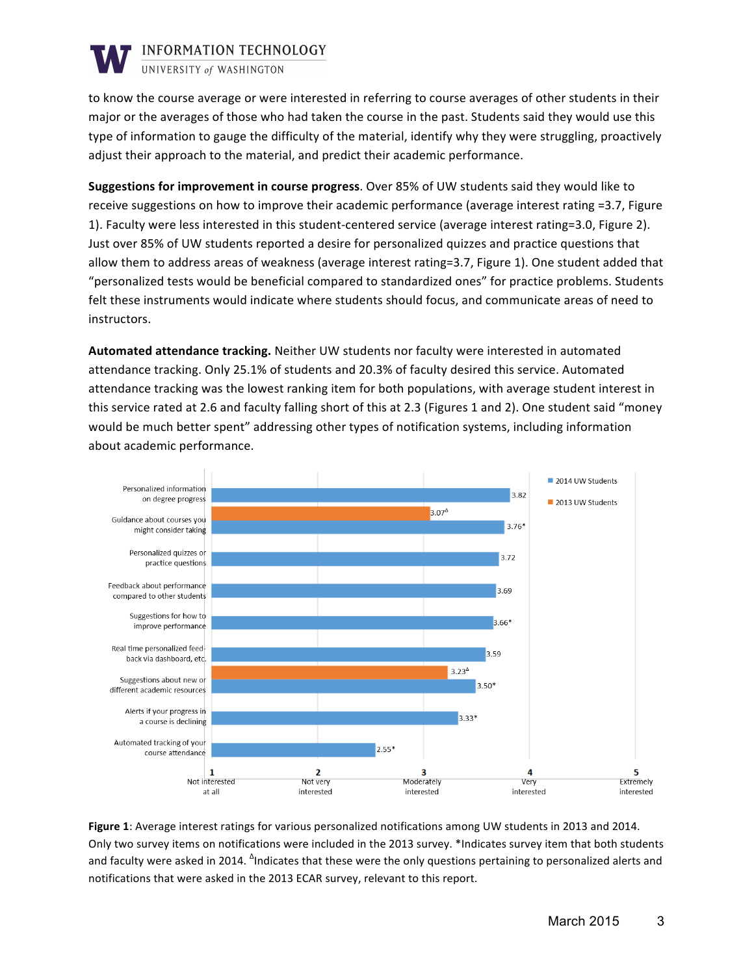

UNIVERSITY of WASHINGTON

to know the course average or were interested in referring to course averages of other students in their major or the averages of those who had taken the course in the past. Students said they would use this type of information to gauge the difficulty of the material, identify why they were struggling, proactively adjust their approach to the material, and predict their academic performance.

**Suggestions for improvement in course progress**. Over 85% of UW students said they would like to receive suggestions on how to improve their academic performance (average interest rating =3.7, Figure 1). Faculty were less interested in this student-centered service (average interest rating=3.0, Figure 2). Just over 85% of UW students reported a desire for personalized quizzes and practice questions that allow them to address areas of weakness (average interest rating=3.7, Figure 1). One student added that "personalized tests would be beneficial compared to standardized ones" for practice problems. Students felt these instruments would indicate where students should focus, and communicate areas of need to instructors.

**Automated attendance tracking.** Neither UW students nor faculty were interested in automated attendance tracking. Only 25.1% of students and 20.3% of faculty desired this service. Automated attendance tracking was the lowest ranking item for both populations, with average student interest in this service rated at 2.6 and faculty falling short of this at 2.3 (Figures 1 and 2). One student said "money would be much better spent" addressing other types of notification systems, including information about academic performance.



Figure 1: Average interest ratings for various personalized notifications among UW students in 2013 and 2014. Only two survey items on notifications were included in the 2013 survey. \*Indicates survey item that both students and faculty were asked in 2014.  $^{\Delta}$ Indicates that these were the only questions pertaining to personalized alerts and notifications that were asked in the 2013 ECAR survey, relevant to this report.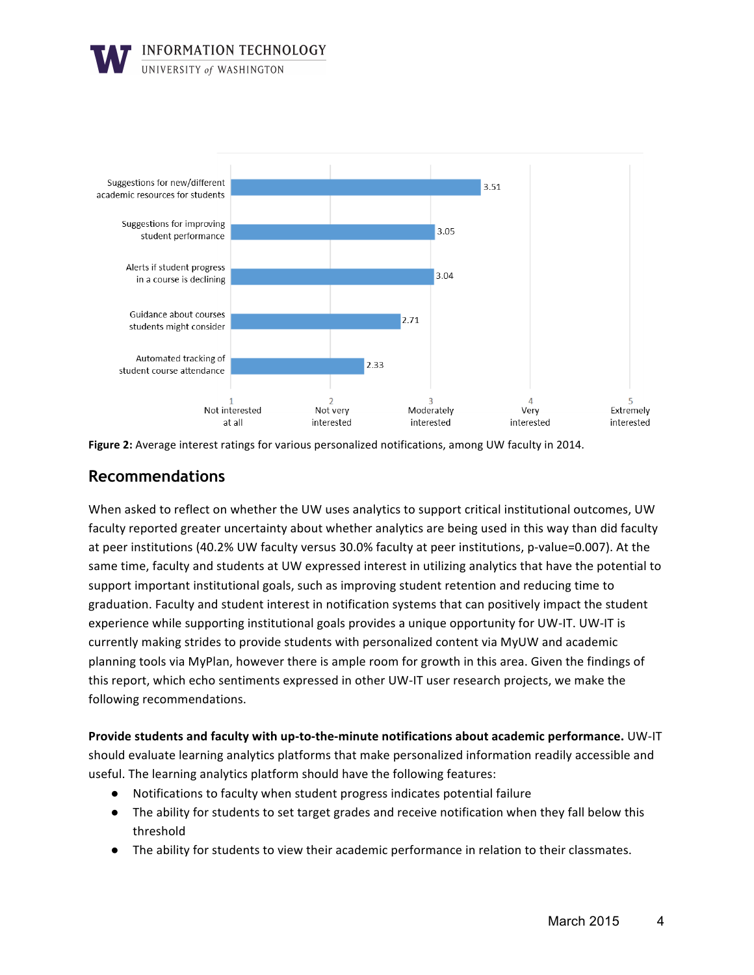





### **Recommendations**

When asked to reflect on whether the UW uses analytics to support critical institutional outcomes, UW faculty reported greater uncertainty about whether analytics are being used in this way than did faculty at peer institutions (40.2% UW faculty versus 30.0% faculty at peer institutions, p-value=0.007). At the same time, faculty and students at UW expressed interest in utilizing analytics that have the potential to support important institutional goals, such as improving student retention and reducing time to graduation. Faculty and student interest in notification systems that can positively impact the student experience while supporting institutional goals provides a unique opportunity for UW-IT. UW-IT is currently making strides to provide students with personalized content via MyUW and academic planning tools via MyPlan, however there is ample room for growth in this area. Given the findings of this report, which echo sentiments expressed in other UW-IT user research projects, we make the following recommendations.

**Provide students and faculty with up-to-the-minute notifications about academic performance.** UW-IT should evaluate learning analytics platforms that make personalized information readily accessible and useful. The learning analytics platform should have the following features:

- Notifications to faculty when student progress indicates potential failure
- The ability for students to set target grades and receive notification when they fall below this threshold
- The ability for students to view their academic performance in relation to their classmates.